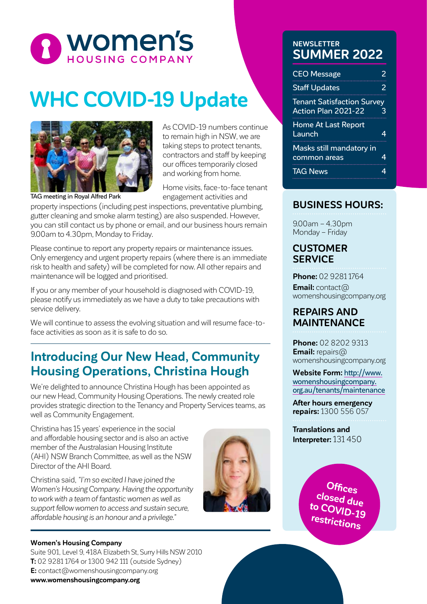

# **WHC COVID-19 Update**



As COVID-19 numbers continue to remain high in NSW, we are taking steps to protect tenants, contractors and staff by keeping our offices temporarily closed and working from home.

Home visits, face-to-face tenant engagement activities and

property inspections (including pest inspections, preventative plumbing, gutter cleaning and smoke alarm testing) are also suspended. However, you can still contact us by phone or email, and our business hours remain 9.00am to 4.30pm, Monday to Friday.

Please continue to report any property repairs or maintenance issues. Only emergency and urgent property repairs (where there is an immediate risk to health and safety) will be completed for now. All other repairs and maintenance will be logged and prioritised.

If you or any member of your household is diagnosed with COVID-19, please notify us immediately as we have a duty to take precautions with service delivery.

We will continue to assess the evolving situation and will resume face-toface activities as soon as it is safe to do so.

## **Introducing Our New Head, Community Housing Operations, Christina Hough**

We're delighted to announce Christina Hough has been appointed as our new Head, Community Housing Operations. The newly created role provides strategic direction to the Tenancy and Property Services teams, as well as Community Engagement.

Christina has 15 years' experience in the social and affordable housing sector and is also an active member of the Australasian Housing Institute (AHI) NSW Branch Committee, as well as the NSW Director of the AHI Board.

Christina said, *"I'm so excited I have joined the Women's Housing Company. Having the opportunity to work with a team of fantastic women as well as support fellow women to access and sustain secure, affordable housing is an honour and a privilege."*



## **Women's Housing Company**

Suite 901, Level 9, 418A Elizabeth St, Surry Hills NSW 2010 **T:** 02 9281 1764 or 1300 942 111 (outside Sydney) **E:** contact@womenshousingcompany.org **www.womenshousingcompany.org**

### **NEWSLETTER SUMMER 2022**

| <b>CEO Message</b>                                              | 2 |
|-----------------------------------------------------------------|---|
| <b>Staff Updates</b>                                            | 2 |
| <b>Tenant Satisfaction Survey</b><br><b>Action Plan 2021-22</b> | 3 |
| <b>Home At Last Report</b><br>Launch                            | 4 |
| Masks still mandatory in<br>common areas                        | 4 |
| <b>TAG News</b>                                                 | 4 |

## **BUSINESS HOURS:**

9.00am – 4.30pm Monday – Friday

#### **CUSTOMER SERVICE**

**Phone:** 02 9281 1764 **Email:** contact@ womenshousingcompany.org

### **REPAIRS AND MAINTENANCE**

**Phone:** 02 8202 9313 **Email:** repairs@ womenshousingcompany.org

**Website Form:** http://www. womenshousingcompany. org.au/tenants/maintenance

**After hours emergency repairs:** 1300 556 057

**Translations and Interpreter:** 131 450

> **Offices closed due to COVID-19 restrictions**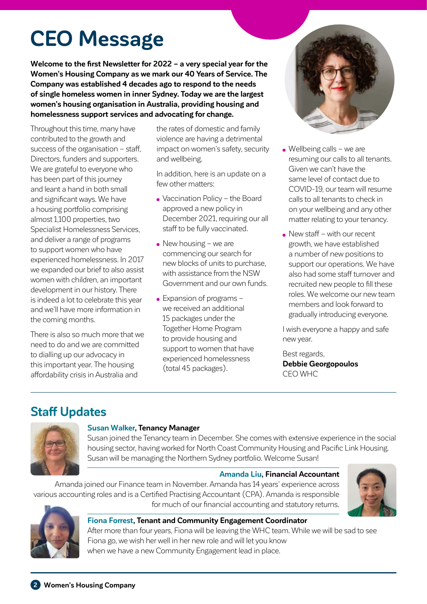# **CEO Message**

**Welcome to the first Newsletter for 2022 – a very special year for the Women's Housing Company as we mark our 40 Years of Service. The Company was established 4 decades ago to respond to the needs of single homeless women in inner Sydney. Today we are the largest women's housing organisation in Australia, providing housing and homelessness support services and advocating for change.** 

Throughout this time, many have contributed to the growth and success of the organisation – staff, Directors, funders and supporters. We are grateful to everyone who has been part of this journey and leant a hand in both small and significant ways. We have a housing portfolio comprising almost 1,100 properties, two Specialist Homelessness Services, and deliver a range of programs to support women who have experienced homelessness. In 2017 we expanded our brief to also assist women with children, an important development in our history. There is indeed a lot to celebrate this year and we'll have more information in the coming months.

There is also so much more that we need to do and we are committed to dialling up our advocacy in this important year. The housing affordability crisis in Australia and

the rates of domestic and family violence are having a detrimental impact on women's safety, security and wellbeing.

In addition, here is an update on a few other matters:

- Vaccination Policy the Board approved a new policy in December 2021, requiring our all staff to be fully vaccinated.
- $\bullet$  New housing we are commencing our search for new blocks of units to purchase, with assistance from the NSW Government and our own funds.
- Expansion of programs we received an additional 15 packages under the Together Home Program to provide housing and support to women that have experienced homelessness (total 45 packages).



- Wellbeing calls we are resuming our calls to all tenants. Given we can't have the same level of contact due to COVID-19, our team will resume calls to all tenants to check in on your wellbeing and any other matter relating to your tenancy.
- New staff with our recent growth, we have established a number of new positions to support our operations. We have also had some staff turnover and recruited new people to fill these roles. We welcome our new team members and look forward to gradually introducing everyone.

I wish everyone a happy and safe new year.

Best regards, **Debbie Georgopoulos** CEO WHC

# **Staff Updates**



#### **Susan Walker, Tenancy Manager**

Susan joined the Tenancy team in December. She comes with extensive experience in the social housing sector, having worked for North Coast Community Housing and Pacific Link Housing. Susan will be managing the Northern Sydney portfolio. Welcome Susan!

#### **Amanda Liu, Financial Accountant**

Amanda joined our Finance team in November. Amanda has 14 years' experience across various accounting roles and is a Certified Practising Accountant (CPA). Amanda is responsible for much of our financial accounting and statutory returns.





#### **Fiona Forrest, Tenant and Community Engagement Coordinator** After more than four years, Fiona will be leaving the WHC team. While we will be sad to see Fiona go, we wish her well in her new role and will let you know when we have a new Community Engagement lead in place.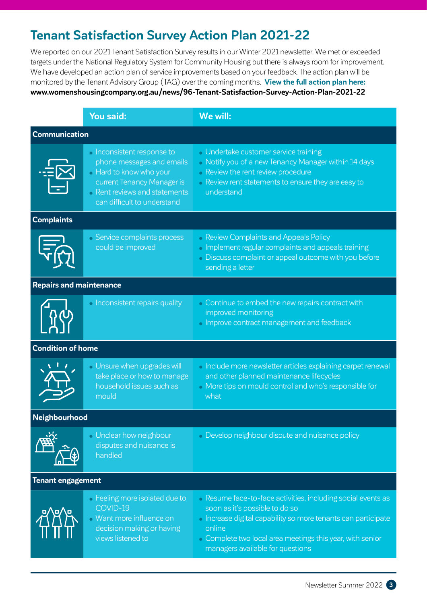# **Tenant Satisfaction Survey Action Plan 2021-22**

We reported on our 2021 Tenant Satisfaction Survey results in our Winter 2021 newsletter. We met or exceeded targets under the National Regulatory System for Community Housing but there is always room for improvement. We have developed an action plan of service improvements based on your feedback. The action plan will be monitored by the Tenant Advisory Group (TAG) over the coming months. **View the full action plan here: www.womenshousingcompany.org.au/news/96-Tenant-Satisfaction-Survey-Action-Plan-2021-22**

|                                | <b>You said:</b>                                                                                                                                                                                | We will:                                                                                                                                                                                                                                                                   |  |  |
|--------------------------------|-------------------------------------------------------------------------------------------------------------------------------------------------------------------------------------------------|----------------------------------------------------------------------------------------------------------------------------------------------------------------------------------------------------------------------------------------------------------------------------|--|--|
| <b>Communication</b>           |                                                                                                                                                                                                 |                                                                                                                                                                                                                                                                            |  |  |
|                                | <b>Inconsistent response to</b><br>phone messages and emails<br><b>Hard to know who your</b><br>current Tenancy Manager is<br><b>Rent reviews and statements</b><br>can difficult to understand | • Undertake customer service training<br>• Notify you of a new Tenancy Manager within 14 days<br>• Review the rent review procedure<br>• Review rent statements to ensure they are easy to<br>understand                                                                   |  |  |
| <b>Complaints</b>              |                                                                                                                                                                                                 |                                                                                                                                                                                                                                                                            |  |  |
|                                | <b>Service complaints process</b><br>could be improved                                                                                                                                          | • Review Complaints and Appeals Policy<br>• Implement regular complaints and appeals training<br>• Discuss complaint or appeal outcome with you before<br>sending a letter                                                                                                 |  |  |
| <b>Repairs and maintenance</b> |                                                                                                                                                                                                 |                                                                                                                                                                                                                                                                            |  |  |
|                                | <b>Inconsistent repairs quality</b>                                                                                                                                                             | • Continue to embed the new repairs contract with<br>improved monitoring<br>• Improve contract management and feedback                                                                                                                                                     |  |  |
| <b>Condition of home</b>       |                                                                                                                                                                                                 |                                                                                                                                                                                                                                                                            |  |  |
|                                | • Unsure when upgrades will<br>take place or how to manage<br>household issues such as<br>mould                                                                                                 | • Include more newsletter articles explaining carpet renewal<br>and other planned maintenance lifecycles<br>More tips on mould control and who's responsible for<br>what                                                                                                   |  |  |
| Neighbourhood                  |                                                                                                                                                                                                 |                                                                                                                                                                                                                                                                            |  |  |
|                                | <b>JInclear how neighbour</b><br>disputes and nuisance is<br>handled                                                                                                                            | • Develop neighbour dispute and nuisance policy                                                                                                                                                                                                                            |  |  |
| <b>Tenant engagement</b>       |                                                                                                                                                                                                 |                                                                                                                                                                                                                                                                            |  |  |
|                                | • Feeling more isolated due to<br>COVID-19<br><b>Mant more influence on</b><br>decision making or having<br>views listened to                                                                   | • Resume face-to-face activities, including social events as<br>soon as it's possible to do so<br>« Increase digital capability so more tenants can participate<br>online<br>• Complete two local area meetings this year, with senior<br>managers available for questions |  |  |